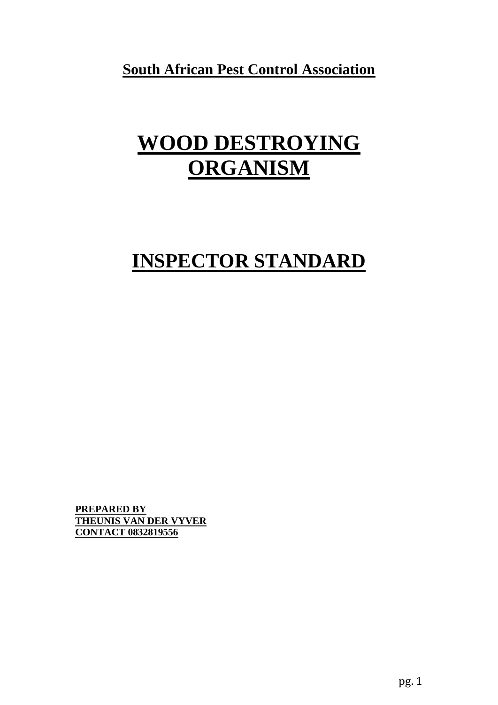**South African Pest Control Association**

# **WOOD DESTROYING ORGANISM**

## **INSPECTOR STANDARD**

**PREPARED BY THEUNIS VAN DER VYVER CONTACT 0832819556**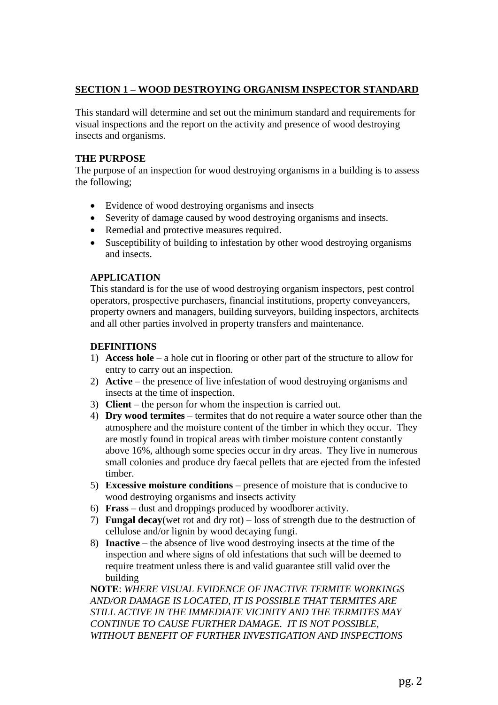## **SECTION 1 – WOOD DESTROYING ORGANISM INSPECTOR STANDARD**

This standard will determine and set out the minimum standard and requirements for visual inspections and the report on the activity and presence of wood destroying insects and organisms.

## **THE PURPOSE**

The purpose of an inspection for wood destroying organisms in a building is to assess the following;

- Evidence of wood destroying organisms and insects
- Severity of damage caused by wood destroying organisms and insects.
- Remedial and protective measures required.
- Susceptibility of building to infestation by other wood destroying organisms and insects.

## **APPLICATION**

This standard is for the use of wood destroying organism inspectors, pest control operators, prospective purchasers, financial institutions, property conveyancers, property owners and managers, building surveyors, building inspectors, architects and all other parties involved in property transfers and maintenance.

## **DEFINITIONS**

- 1) **Access hole** a hole cut in flooring or other part of the structure to allow for entry to carry out an inspection.
- 2) **Active** the presence of live infestation of wood destroying organisms and insects at the time of inspection.
- 3) **Client** the person for whom the inspection is carried out.
- 4) **Dry wood termites** termites that do not require a water source other than the atmosphere and the moisture content of the timber in which they occur. They are mostly found in tropical areas with timber moisture content constantly above 16%, although some species occur in dry areas. They live in numerous small colonies and produce dry faecal pellets that are ejected from the infested timber.
- 5) **Excessive moisture conditions** presence of moisture that is conducive to wood destroying organisms and insects activity
- 6) **Frass** dust and droppings produced by woodborer activity.
- 7) **Fungal decay**(wet rot and dry rot) loss of strength due to the destruction of cellulose and/or lignin by wood decaying fungi.
- 8) **Inactive** the absence of live wood destroying insects at the time of the inspection and where signs of old infestations that such will be deemed to require treatment unless there is and valid guarantee still valid over the building

**NOTE**: *WHERE VISUAL EVIDENCE OF INACTIVE TERMITE WORKINGS AND/OR DAMAGE IS LOCATED, IT IS POSSIBLE THAT TERMITES ARE STILL ACTIVE IN THE IMMEDIATE VICINITY AND THE TERMITES MAY CONTINUE TO CAUSE FURTHER DAMAGE. IT IS NOT POSSIBLE, WITHOUT BENEFIT OF FURTHER INVESTIGATION AND INSPECTIONS*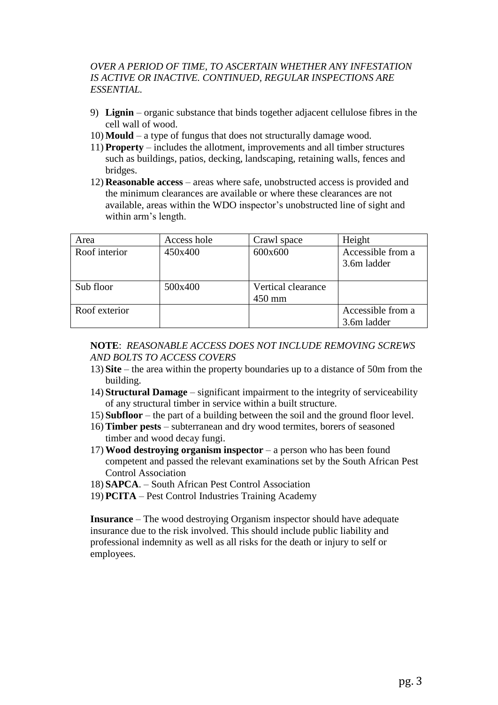## *OVER A PERIOD OF TIME, TO ASCERTAIN WHETHER ANY INFESTATION IS ACTIVE OR INACTIVE. CONTINUED, REGULAR INSPECTIONS ARE ESSENTIAL.*

- 9) **Lignin** organic substance that binds together adjacent cellulose fibres in the cell wall of wood.
- 10) **Mould** a type of fungus that does not structurally damage wood.
- 11) **Property** includes the allotment, improvements and all timber structures such as buildings, patios, decking, landscaping, retaining walls, fences and bridges.
- 12) **Reasonable access** areas where safe, unobstructed access is provided and the minimum clearances are available or where these clearances are not available, areas within the WDO inspector's unobstructed line of sight and within arm's length.

| Area          | Access hole | Crawl space        | Height                           |  |
|---------------|-------------|--------------------|----------------------------------|--|
| Roof interior | 450x400     | 600x600            | Accessible from a<br>3.6m ladder |  |
| Sub floor     | 500x400     | Vertical clearance |                                  |  |
|               |             | 450 mm             |                                  |  |
| Roof exterior |             |                    | Accessible from a                |  |
|               |             |                    | 3.6m ladder                      |  |

### **NOTE**: *REASONABLE ACCESS DOES NOT INCLUDE REMOVING SCREWS AND BOLTS TO ACCESS COVERS*

- 13) **Site** the area within the property boundaries up to a distance of 50m from the building.
- 14) **Structural Damage** significant impairment to the integrity of serviceability of any structural timber in service within a built structure.
- 15) **Subfloor** the part of a building between the soil and the ground floor level.
- 16) **Timber pests** subterranean and dry wood termites, borers of seasoned timber and wood decay fungi.
- 17) **Wood destroying organism inspector** a person who has been found competent and passed the relevant examinations set by the South African Pest Control Association
- 18) **SAPCA**. South African Pest Control Association
- 19) **PCITA**  Pest Control Industries Training Academy

**Insurance** – The wood destroying Organism inspector should have adequate insurance due to the risk involved. This should include public liability and professional indemnity as well as all risks for the death or injury to self or employees.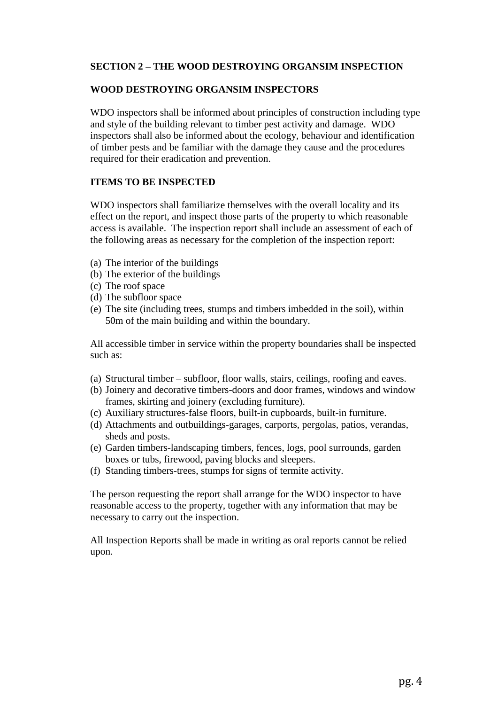### **SECTION 2 – THE WOOD DESTROYING ORGANSIM INSPECTION**

#### **WOOD DESTROYING ORGANSIM INSPECTORS**

WDO inspectors shall be informed about principles of construction including type and style of the building relevant to timber pest activity and damage. WDO inspectors shall also be informed about the ecology, behaviour and identification of timber pests and be familiar with the damage they cause and the procedures required for their eradication and prevention.

#### **ITEMS TO BE INSPECTED**

WDO inspectors shall familiarize themselves with the overall locality and its effect on the report, and inspect those parts of the property to which reasonable access is available. The inspection report shall include an assessment of each of the following areas as necessary for the completion of the inspection report:

- (a) The interior of the buildings
- (b) The exterior of the buildings
- (c) The roof space
- (d) The subfloor space
- (e) The site (including trees, stumps and timbers imbedded in the soil), within 50m of the main building and within the boundary.

All accessible timber in service within the property boundaries shall be inspected such as:

- (a) Structural timber subfloor, floor walls, stairs, ceilings, roofing and eaves.
- (b) Joinery and decorative timbers-doors and door frames, windows and window frames, skirting and joinery (excluding furniture).
- (c) Auxiliary structures-false floors, built-in cupboards, built-in furniture.
- (d) Attachments and outbuildings-garages, carports, pergolas, patios, verandas, sheds and posts.
- (e) Garden timbers-landscaping timbers, fences, logs, pool surrounds, garden boxes or tubs, firewood, paving blocks and sleepers.
- (f) Standing timbers-trees, stumps for signs of termite activity.

The person requesting the report shall arrange for the WDO inspector to have reasonable access to the property, together with any information that may be necessary to carry out the inspection.

All Inspection Reports shall be made in writing as oral reports cannot be relied upon.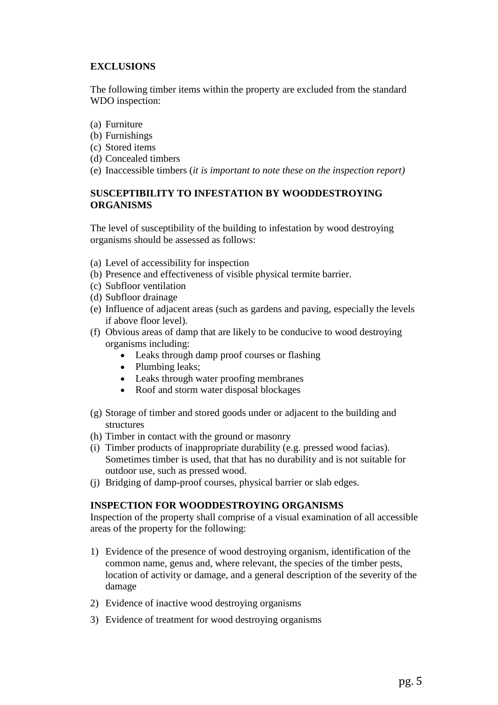## **EXCLUSIONS**

The following timber items within the property are excluded from the standard WDO inspection:

- (a) Furniture
- (b) Furnishings
- (c) Stored items
- (d) Concealed timbers
- (e) Inaccessible timbers (*it is important to note these on the inspection report)*

## **SUSCEPTIBILITY TO INFESTATION BY WOODDESTROYING ORGANISMS**

The level of susceptibility of the building to infestation by wood destroying organisms should be assessed as follows:

- (a) Level of accessibility for inspection
- (b) Presence and effectiveness of visible physical termite barrier.
- (c) Subfloor ventilation
- (d) Subfloor drainage
- (e) Influence of adjacent areas (such as gardens and paving, especially the levels if above floor level).
- (f) Obvious areas of damp that are likely to be conducive to wood destroying organisms including:
	- Leaks through damp proof courses or flashing
	- Plumbing leaks;
	- Leaks through water proofing membranes
	- Roof and storm water disposal blockages
- (g) Storage of timber and stored goods under or adjacent to the building and structures
- (h) Timber in contact with the ground or masonry
- (i) Timber products of inappropriate durability (e.g. pressed wood facias). Sometimes timber is used, that that has no durability and is not suitable for outdoor use, such as pressed wood.
- (j) Bridging of damp-proof courses, physical barrier or slab edges.

## **INSPECTION FOR WOODDESTROYING ORGANISMS**

Inspection of the property shall comprise of a visual examination of all accessible areas of the property for the following:

- 1) Evidence of the presence of wood destroying organism, identification of the common name, genus and, where relevant, the species of the timber pests, location of activity or damage, and a general description of the severity of the damage
- 2) Evidence of inactive wood destroying organisms
- 3) Evidence of treatment for wood destroying organisms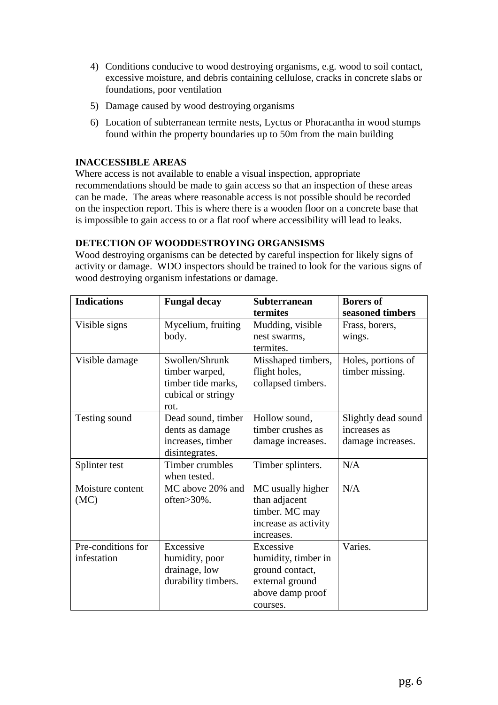- 4) Conditions conducive to wood destroying organisms, e.g. wood to soil contact, excessive moisture, and debris containing cellulose, cracks in concrete slabs or foundations, poor ventilation
- 5) Damage caused by wood destroying organisms
- 6) Location of subterranean termite nests, Lyctus or Phoracantha in wood stumps found within the property boundaries up to 50m from the main building

## **INACCESSIBLE AREAS**

Where access is not available to enable a visual inspection, appropriate recommendations should be made to gain access so that an inspection of these areas can be made. The areas where reasonable access is not possible should be recorded on the inspection report. This is where there is a wooden floor on a concrete base that is impossible to gain access to or a flat roof where accessibility will lead to leaks.

## **DETECTION OF WOODDESTROYING ORGANSISMS**

Wood destroying organisms can be detected by careful inspection for likely signs of activity or damage. WDO inspectors should be trained to look for the various signs of wood destroying organism infestations or damage.

| <b>Indications</b> | <b>Fungal decay</b> | <b>Subterranean</b>  | <b>Borers of</b>    |  |
|--------------------|---------------------|----------------------|---------------------|--|
|                    |                     | termites             | seasoned timbers    |  |
| Visible signs      | Mycelium, fruiting  | Mudding, visible     | Frass, borers,      |  |
|                    | body.               | nest swarms,         | wings.              |  |
|                    |                     | termites.            |                     |  |
| Visible damage     | Swollen/Shrunk      | Misshaped timbers,   | Holes, portions of  |  |
|                    | timber warped,      | flight holes,        | timber missing.     |  |
|                    | timber tide marks,  | collapsed timbers.   |                     |  |
|                    | cubical or stringy  |                      |                     |  |
|                    | rot.                |                      |                     |  |
| Testing sound      | Dead sound, timber  | Hollow sound,        | Slightly dead sound |  |
|                    | dents as damage     | timber crushes as    | increases as        |  |
|                    | increases, timber   | damage increases.    | damage increases.   |  |
|                    | disintegrates.      |                      |                     |  |
| Splinter test      | Timber crumbles     | Timber splinters.    | N/A                 |  |
|                    | when tested.        |                      |                     |  |
| Moisture content   | MC above 20% and    | MC usually higher    | N/A                 |  |
| (MC)               | often>30%.          | than adjacent        |                     |  |
|                    |                     | timber. MC may       |                     |  |
|                    |                     | increase as activity |                     |  |
|                    |                     | increases.           |                     |  |
| Pre-conditions for | Excessive           | Excessive            | Varies.             |  |
| infestation        | humidity, poor      | humidity, timber in  |                     |  |
|                    | drainage, low       | ground contact,      |                     |  |
|                    | durability timbers. | external ground      |                     |  |
|                    |                     | above damp proof     |                     |  |
|                    |                     | courses.             |                     |  |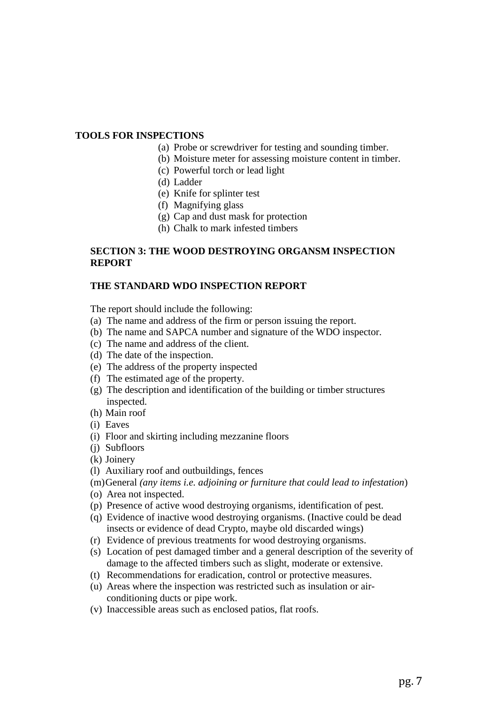#### **TOOLS FOR INSPECTIONS**

- (a) Probe or screwdriver for testing and sounding timber.
- (b) Moisture meter for assessing moisture content in timber.
- (c) Powerful torch or lead light
- (d) Ladder
- (e) Knife for splinter test
- (f) Magnifying glass
- (g) Cap and dust mask for protection
- (h) Chalk to mark infested timbers

#### **SECTION 3: THE WOOD DESTROYING ORGANSM INSPECTION REPORT**

#### **THE STANDARD WDO INSPECTION REPORT**

The report should include the following:

- (a) The name and address of the firm or person issuing the report.
- (b) The name and SAPCA number and signature of the WDO inspector.
- (c) The name and address of the client.
- (d) The date of the inspection.
- (e) The address of the property inspected
- (f) The estimated age of the property.
- (g) The description and identification of the building or timber structures inspected.
- (h) Main roof
- (i) Eaves
- (i) Floor and skirting including mezzanine floors
- (j) Subfloors
- (k) Joinery
- (l) Auxiliary roof and outbuildings, fences
- (m)General *(any items i.e. adjoining or furniture that could lead to infestation*)
- (o) Area not inspected.
- (p) Presence of active wood destroying organisms, identification of pest.
- (q) Evidence of inactive wood destroying organisms. (Inactive could be dead insects or evidence of dead Crypto, maybe old discarded wings)
- (r) Evidence of previous treatments for wood destroying organisms.
- (s) Location of pest damaged timber and a general description of the severity of damage to the affected timbers such as slight, moderate or extensive.
- (t) Recommendations for eradication, control or protective measures.
- (u) Areas where the inspection was restricted such as insulation or airconditioning ducts or pipe work.
- (v) Inaccessible areas such as enclosed patios, flat roofs.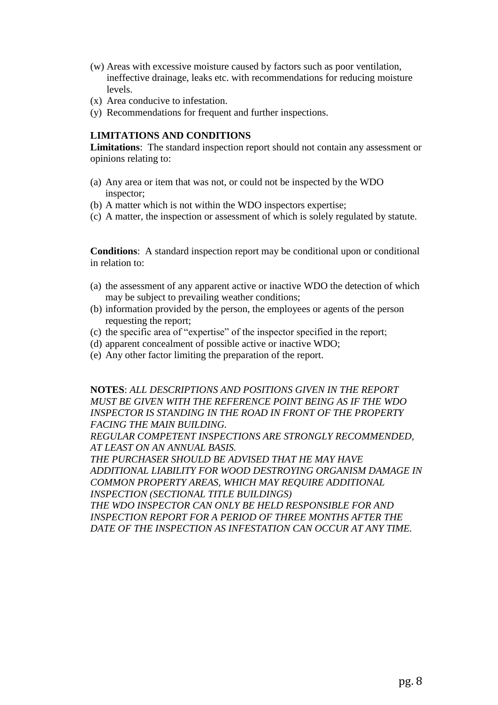- (w) Areas with excessive moisture caused by factors such as poor ventilation, ineffective drainage, leaks etc. with recommendations for reducing moisture levels.
- (x) Area conducive to infestation.
- (y) Recommendations for frequent and further inspections.

#### **LIMITATIONS AND CONDITIONS**

**Limitations**: The standard inspection report should not contain any assessment or opinions relating to:

- (a) Any area or item that was not, or could not be inspected by the WDO inspector;
- (b) A matter which is not within the WDO inspectors expertise;
- (c) A matter, the inspection or assessment of which is solely regulated by statute.

**Conditions**: A standard inspection report may be conditional upon or conditional in relation to:

- (a) the assessment of any apparent active or inactive WDO the detection of which may be subject to prevailing weather conditions;
- (b) information provided by the person, the employees or agents of the person requesting the report;
- (c) the specific area of "expertise" of the inspector specified in the report;
- (d) apparent concealment of possible active or inactive WDO;
- (e) Any other factor limiting the preparation of the report.

**NOTES**: *ALL DESCRIPTIONS AND POSITIONS GIVEN IN THE REPORT MUST BE GIVEN WITH THE REFERENCE POINT BEING AS IF THE WDO INSPECTOR IS STANDING IN THE ROAD IN FRONT OF THE PROPERTY FACING THE MAIN BUILDING.* 

*REGULAR COMPETENT INSPECTIONS ARE STRONGLY RECOMMENDED, AT LEAST ON AN ANNUAL BASIS.* 

*THE PURCHASER SHOULD BE ADVISED THAT HE MAY HAVE ADDITIONAL LIABILITY FOR WOOD DESTROYING ORGANISM DAMAGE IN COMMON PROPERTY AREAS, WHICH MAY REQUIRE ADDITIONAL INSPECTION (SECTIONAL TITLE BUILDINGS)* 

*THE WDO INSPECTOR CAN ONLY BE HELD RESPONSIBLE FOR AND INSPECTION REPORT FOR A PERIOD OF THREE MONTHS AFTER THE DATE OF THE INSPECTION AS INFESTATION CAN OCCUR AT ANY TIME.*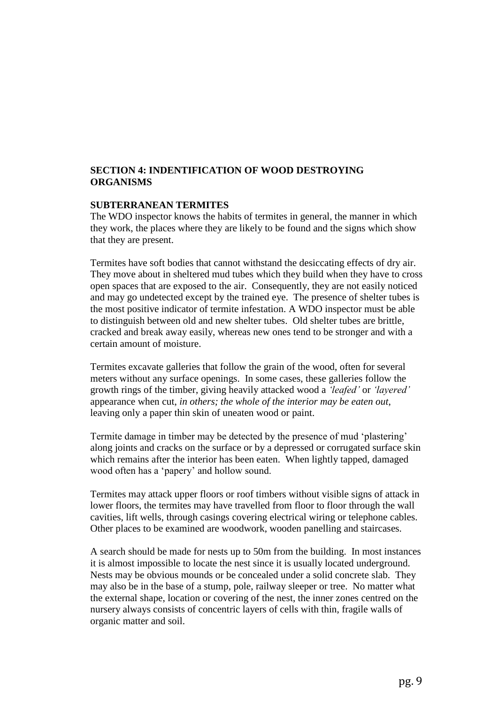#### **SECTION 4: INDENTIFICATION OF WOOD DESTROYING ORGANISMS**

#### **SUBTERRANEAN TERMITES**

The WDO inspector knows the habits of termites in general, the manner in which they work, the places where they are likely to be found and the signs which show that they are present.

Termites have soft bodies that cannot withstand the desiccating effects of dry air. They move about in sheltered mud tubes which they build when they have to cross open spaces that are exposed to the air. Consequently, they are not easily noticed and may go undetected except by the trained eye. The presence of shelter tubes is the most positive indicator of termite infestation. A WDO inspector must be able to distinguish between old and new shelter tubes. Old shelter tubes are brittle, cracked and break away easily, whereas new ones tend to be stronger and with a certain amount of moisture.

Termites excavate galleries that follow the grain of the wood, often for several meters without any surface openings. In some cases, these galleries follow the growth rings of the timber, giving heavily attacked wood a *'leafed'* or *'layered'* appearance when cut, *in others; the whole of the interior may be eaten out*, leaving only a paper thin skin of uneaten wood or paint.

Termite damage in timber may be detected by the presence of mud 'plastering' along joints and cracks on the surface or by a depressed or corrugated surface skin which remains after the interior has been eaten. When lightly tapped, damaged wood often has a 'papery' and hollow sound.

Termites may attack upper floors or roof timbers without visible signs of attack in lower floors, the termites may have travelled from floor to floor through the wall cavities, lift wells, through casings covering electrical wiring or telephone cables. Other places to be examined are woodwork, wooden panelling and staircases.

A search should be made for nests up to 50m from the building. In most instances it is almost impossible to locate the nest since it is usually located underground. Nests may be obvious mounds or be concealed under a solid concrete slab. They may also be in the base of a stump, pole, railway sleeper or tree. No matter what the external shape, location or covering of the nest, the inner zones centred on the nursery always consists of concentric layers of cells with thin, fragile walls of organic matter and soil.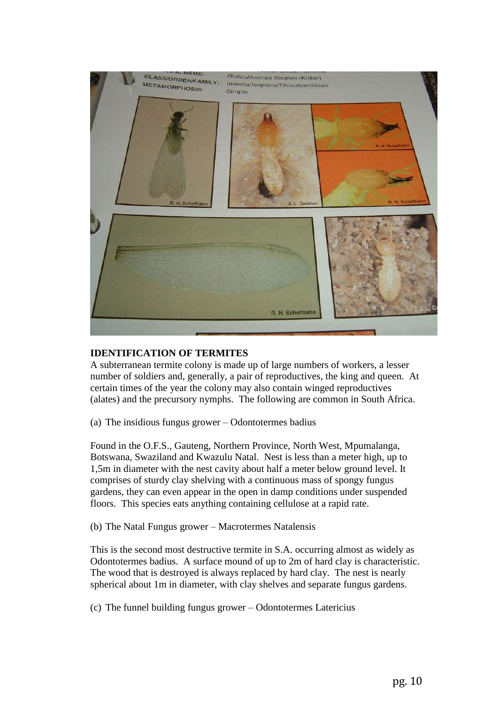

#### **IDENTIFICATION OF TERMITES**

A subterranean termite colony is made up of large numbers of workers, a lesser number of soldiers and, generally, a pair of reproductives, the king and queen. At certain times of the year the colony may also contain winged reproductives (alates) and the precursory nymphs. The following are common in South Africa.

(a) The insidious fungus grower – Odontotermes badius

Found in the O.F.S., Gauteng, Northern Province, North West, Mpumalanga, Botswana, Swaziland and Kwazulu Natal. Nest is less than a meter high, up to 1,5m in diameter with the nest cavity about half a meter below ground level. It comprises of sturdy clay shelving with a continuous mass of spongy fungus gardens, they can even appear in the open in damp conditions under suspended floors. This species eats anything containing cellulose at a rapid rate.

(b) The Natal Fungus grower – Macrotermes Natalensis

This is the second most destructive termite in S.A. occurring almost as widely as Odontotermes badius. A surface mound of up to 2m of hard clay is characteristic. The wood that is destroyed is always replaced by hard clay. The nest is nearly spherical about 1m in diameter, with clay shelves and separate fungus gardens.

(c) The funnel building fungus grower – Odontotermes Latericius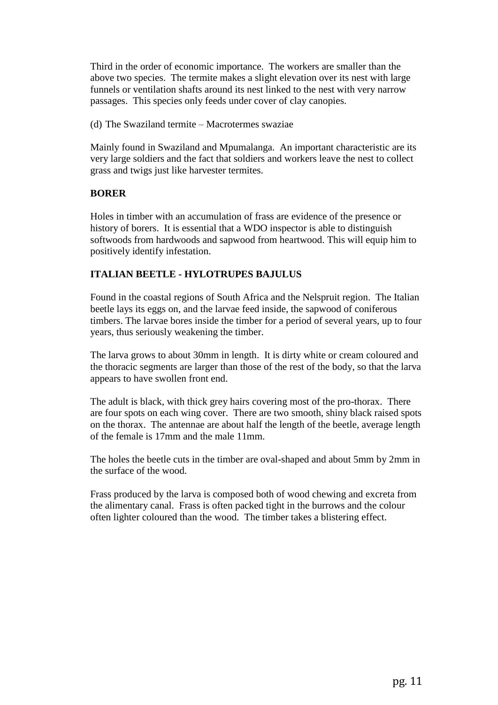Third in the order of economic importance. The workers are smaller than the above two species. The termite makes a slight elevation over its nest with large funnels or ventilation shafts around its nest linked to the nest with very narrow passages. This species only feeds under cover of clay canopies.

(d) The Swaziland termite – Macrotermes swaziae

Mainly found in Swaziland and Mpumalanga. An important characteristic are its very large soldiers and the fact that soldiers and workers leave the nest to collect grass and twigs just like harvester termites.

## **BORER**

Holes in timber with an accumulation of frass are evidence of the presence or history of borers. It is essential that a WDO inspector is able to distinguish softwoods from hardwoods and sapwood from heartwood. This will equip him to positively identify infestation.

## **ITALIAN BEETLE - HYLOTRUPES BAJULUS**

Found in the coastal regions of South Africa and the Nelspruit region. The Italian beetle lays its eggs on, and the larvae feed inside, the sapwood of coniferous timbers. The larvae bores inside the timber for a period of several years, up to four years, thus seriously weakening the timber.

The larva grows to about 30mm in length. It is dirty white or cream coloured and the thoracic segments are larger than those of the rest of the body, so that the larva appears to have swollen front end.

The adult is black, with thick grey hairs covering most of the pro-thorax. There are four spots on each wing cover. There are two smooth, shiny black raised spots on the thorax. The antennae are about half the length of the beetle, average length of the female is 17mm and the male 11mm.

The holes the beetle cuts in the timber are oval-shaped and about 5mm by 2mm in the surface of the wood.

Frass produced by the larva is composed both of wood chewing and excreta from the alimentary canal. Frass is often packed tight in the burrows and the colour often lighter coloured than the wood. The timber takes a blistering effect.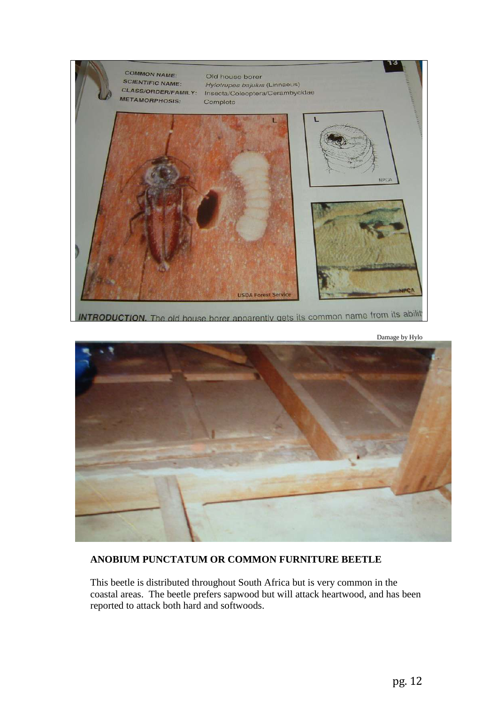

**INTRODUCTION.** The old house borer apparently gets its common name from its ability

Damage by Hylo



## **ANOBIUM PUNCTATUM OR COMMON FURNITURE BEETLE**

This beetle is distributed throughout South Africa but is very common in the coastal areas. The beetle prefers sapwood but will attack heartwood, and has been reported to attack both hard and softwoods.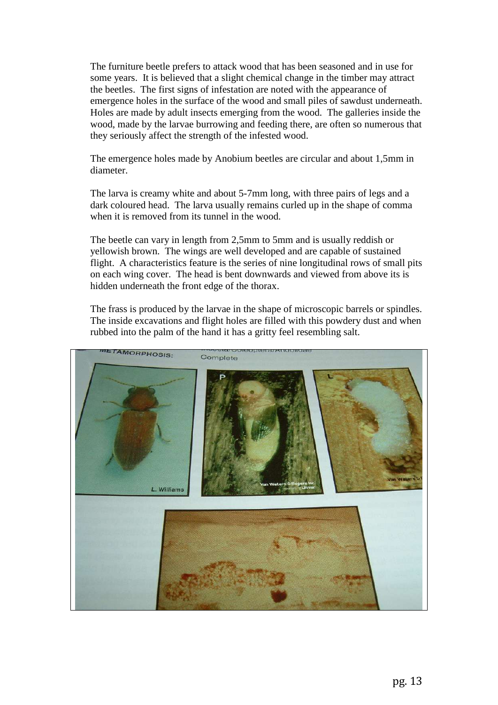The furniture beetle prefers to attack wood that has been seasoned and in use for some years. It is believed that a slight chemical change in the timber may attract the beetles. The first signs of infestation are noted with the appearance of emergence holes in the surface of the wood and small piles of sawdust underneath. Holes are made by adult insects emerging from the wood. The galleries inside the wood, made by the larvae burrowing and feeding there, are often so numerous that they seriously affect the strength of the infested wood.

The emergence holes made by Anobium beetles are circular and about 1,5mm in diameter.

The larva is creamy white and about 5-7mm long, with three pairs of legs and a dark coloured head. The larva usually remains curled up in the shape of comma when it is removed from its tunnel in the wood.

The beetle can vary in length from 2,5mm to 5mm and is usually reddish or yellowish brown. The wings are well developed and are capable of sustained flight. A characteristics feature is the series of nine longitudinal rows of small pits on each wing cover. The head is bent downwards and viewed from above its is hidden underneath the front edge of the thorax.

The frass is produced by the larvae in the shape of microscopic barrels or spindles. The inside excavations and flight holes are filled with this powdery dust and when rubbed into the palm of the hand it has a gritty feel resembling salt.

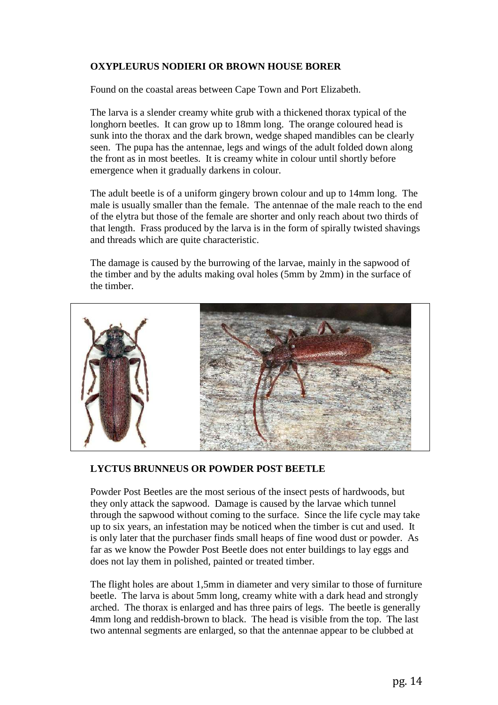## **OXYPLEURUS NODIERI OR BROWN HOUSE BORER**

Found on the coastal areas between Cape Town and Port Elizabeth.

The larva is a slender creamy white grub with a thickened thorax typical of the longhorn beetles. It can grow up to 18mm long. The orange coloured head is sunk into the thorax and the dark brown, wedge shaped mandibles can be clearly seen. The pupa has the antennae, legs and wings of the adult folded down along the front as in most beetles. It is creamy white in colour until shortly before emergence when it gradually darkens in colour.

The adult beetle is of a uniform gingery brown colour and up to 14mm long. The male is usually smaller than the female. The antennae of the male reach to the end of the elytra but those of the female are shorter and only reach about two thirds of that length. Frass produced by the larva is in the form of spirally twisted shavings and threads which are quite characteristic.

The damage is caused by the burrowing of the larvae, mainly in the sapwood of the timber and by the adults making oval holes (5mm by 2mm) in the surface of the timber.



#### **LYCTUS BRUNNEUS OR POWDER POST BEETLE**

Powder Post Beetles are the most serious of the insect pests of hardwoods, but they only attack the sapwood. Damage is caused by the larvae which tunnel through the sapwood without coming to the surface. Since the life cycle may take up to six years, an infestation may be noticed when the timber is cut and used. It is only later that the purchaser finds small heaps of fine wood dust or powder. As far as we know the Powder Post Beetle does not enter buildings to lay eggs and does not lay them in polished, painted or treated timber.

The flight holes are about 1,5mm in diameter and very similar to those of furniture beetle. The larva is about 5mm long, creamy white with a dark head and strongly arched. The thorax is enlarged and has three pairs of legs. The beetle is generally 4mm long and reddish-brown to black. The head is visible from the top. The last two antennal segments are enlarged, so that the antennae appear to be clubbed at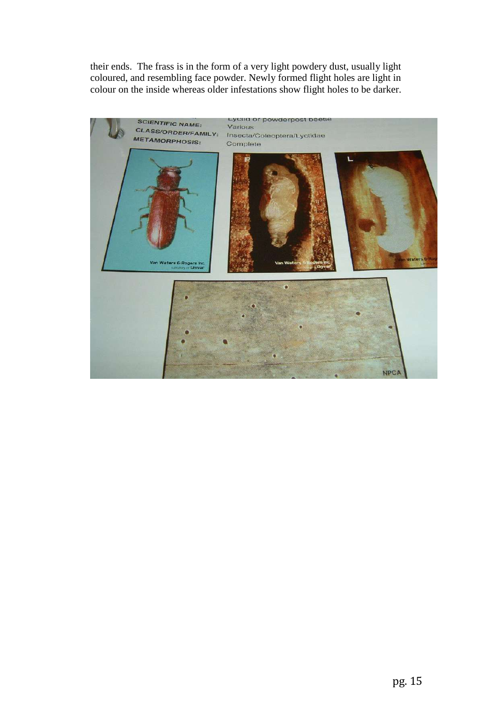their ends. The frass is in the form of a very light powdery dust, usually light coloured, and resembling face powder. Newly formed flight holes are light in colour on the inside whereas older infestations show flight holes to be darker.

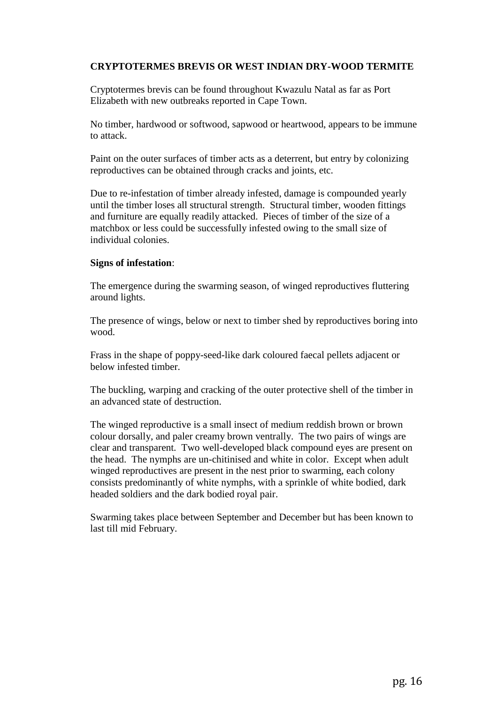## **CRYPTOTERMES BREVIS OR WEST INDIAN DRY-WOOD TERMITE**

Cryptotermes brevis can be found throughout Kwazulu Natal as far as Port Elizabeth with new outbreaks reported in Cape Town.

No timber, hardwood or softwood, sapwood or heartwood, appears to be immune to attack.

Paint on the outer surfaces of timber acts as a deterrent, but entry by colonizing reproductives can be obtained through cracks and joints, etc.

Due to re-infestation of timber already infested, damage is compounded yearly until the timber loses all structural strength. Structural timber, wooden fittings and furniture are equally readily attacked. Pieces of timber of the size of a matchbox or less could be successfully infested owing to the small size of individual colonies.

#### **Signs of infestation**:

The emergence during the swarming season, of winged reproductives fluttering around lights.

The presence of wings, below or next to timber shed by reproductives boring into wood.

Frass in the shape of poppy-seed-like dark coloured faecal pellets adjacent or below infested timber.

The buckling, warping and cracking of the outer protective shell of the timber in an advanced state of destruction.

The winged reproductive is a small insect of medium reddish brown or brown colour dorsally, and paler creamy brown ventrally. The two pairs of wings are clear and transparent. Two well-developed black compound eyes are present on the head. The nymphs are un-chitinised and white in color. Except when adult winged reproductives are present in the nest prior to swarming, each colony consists predominantly of white nymphs, with a sprinkle of white bodied, dark headed soldiers and the dark bodied royal pair.

Swarming takes place between September and December but has been known to last till mid February.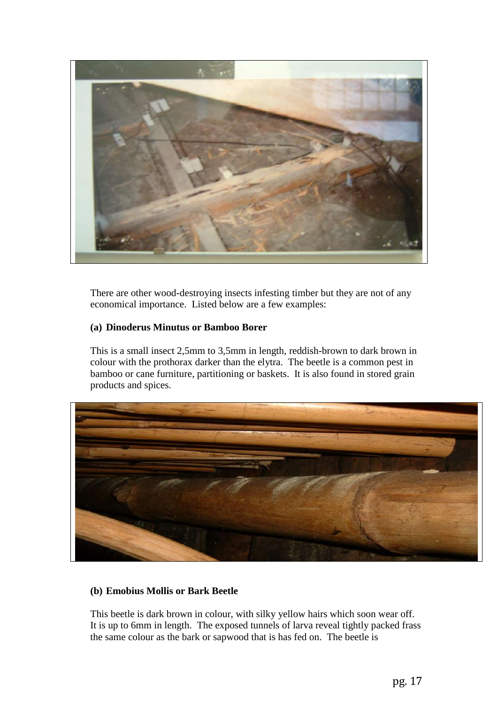

There are other wood-destroying insects infesting timber but they are not of any economical importance. Listed below are a few examples:

## **(a) Dinoderus Minutus or Bamboo Borer**

This is a small insect 2,5mm to 3,5mm in length, reddish-brown to dark brown in colour with the prothorax darker than the elytra. The beetle is a common pest in bamboo or cane furniture, partitioning or baskets. It is also found in stored grain products and spices.



## **(b) Emobius Mollis or Bark Beetle**

This beetle is dark brown in colour, with silky yellow hairs which soon wear off. It is up to 6mm in length. The exposed tunnels of larva reveal tightly packed frass the same colour as the bark or sapwood that is has fed on. The beetle is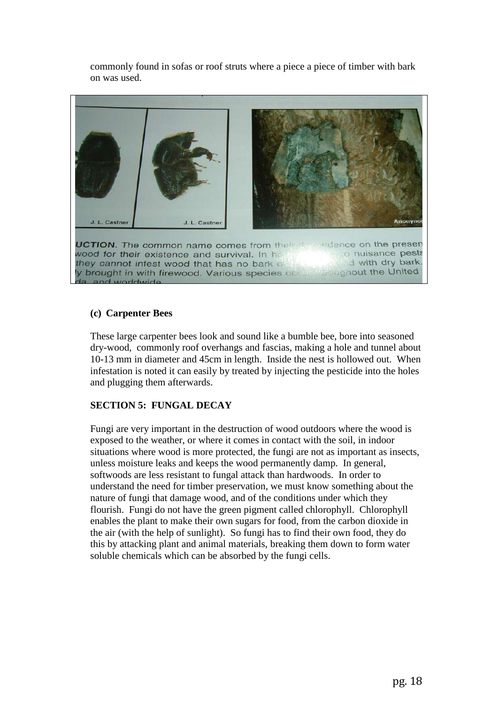commonly found in sofas or roof struts where a piece a piece of timber with bark on was used.



#### **(c) Carpenter Bees**

These large carpenter bees look and sound like a bumble bee, bore into seasoned dry-wood, commonly roof overhangs and fascias, making a hole and tunnel about 10-13 mm in diameter and 45cm in length. Inside the nest is hollowed out. When infestation is noted it can easily by treated by injecting the pesticide into the holes and plugging them afterwards.

## **SECTION 5: FUNGAL DECAY**

Fungi are very important in the destruction of wood outdoors where the wood is exposed to the weather, or where it comes in contact with the soil, in indoor situations where wood is more protected, the fungi are not as important as insects, unless moisture leaks and keeps the wood permanently damp. In general, softwoods are less resistant to fungal attack than hardwoods. In order to understand the need for timber preservation, we must know something about the nature of fungi that damage wood, and of the conditions under which they flourish. Fungi do not have the green pigment called chlorophyll. Chlorophyll enables the plant to make their own sugars for food, from the carbon dioxide in the air (with the help of sunlight). So fungi has to find their own food, they do this by attacking plant and animal materials, breaking them down to form water soluble chemicals which can be absorbed by the fungi cells.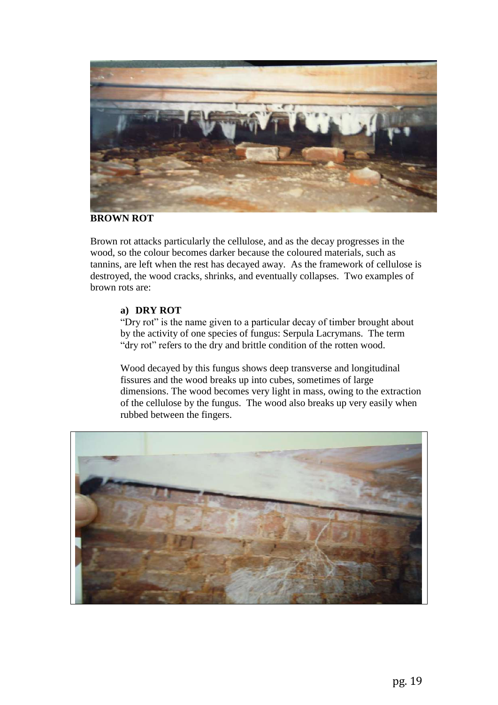

#### **BROWN ROT**

Brown rot attacks particularly the cellulose, and as the decay progresses in the wood, so the colour becomes darker because the coloured materials, such as tannins, are left when the rest has decayed away. As the framework of cellulose is destroyed, the wood cracks, shrinks, and eventually collapses. Two examples of brown rots are:

#### **a) DRY ROT**

"Dry rot" is the name given to a particular decay of timber brought about by the activity of one species of fungus: Serpula Lacrymans. The term "dry rot" refers to the dry and brittle condition of the rotten wood.

Wood decayed by this fungus shows deep transverse and longitudinal fissures and the wood breaks up into cubes, sometimes of large dimensions. The wood becomes very light in mass, owing to the extraction of the cellulose by the fungus. The wood also breaks up very easily when rubbed between the fingers.

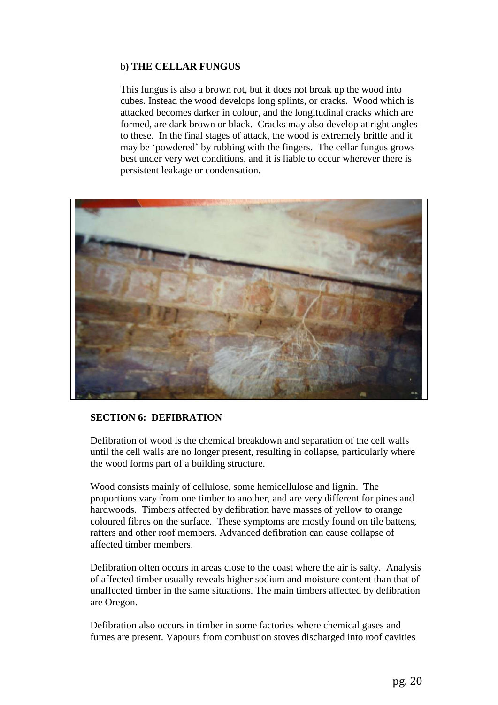## b**) THE CELLAR FUNGUS**

This fungus is also a brown rot, but it does not break up the wood into cubes. Instead the wood develops long splints, or cracks. Wood which is attacked becomes darker in colour, and the longitudinal cracks which are formed, are dark brown or black. Cracks may also develop at right angles to these. In the final stages of attack, the wood is extremely brittle and it may be 'powdered' by rubbing with the fingers. The cellar fungus grows best under very wet conditions, and it is liable to occur wherever there is persistent leakage or condensation.



#### **SECTION 6: DEFIBRATION**

Defibration of wood is the chemical breakdown and separation of the cell walls until the cell walls are no longer present, resulting in collapse, particularly where the wood forms part of a building structure.

Wood consists mainly of cellulose, some hemicellulose and lignin. The proportions vary from one timber to another, and are very different for pines and hardwoods. Timbers affected by defibration have masses of yellow to orange coloured fibres on the surface. These symptoms are mostly found on tile battens, rafters and other roof members. Advanced defibration can cause collapse of affected timber members.

Defibration often occurs in areas close to the coast where the air is salty. Analysis of affected timber usually reveals higher sodium and moisture content than that of unaffected timber in the same situations. The main timbers affected by defibration are Oregon.

Defibration also occurs in timber in some factories where chemical gases and fumes are present. Vapours from combustion stoves discharged into roof cavities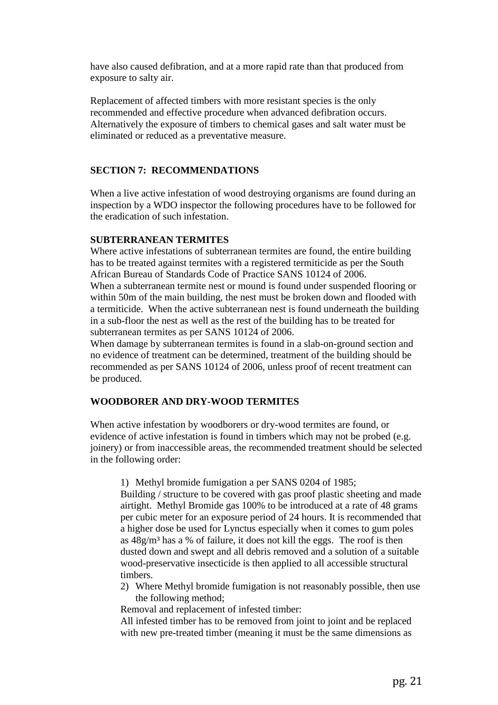have also caused defibration, and at a more rapid rate than that produced from exposure to salty air.

Replacement of affected timbers with more resistant species is the only recommended and effective procedure when advanced defibration occurs. Alternatively the exposure of timbers to chemical gases and salt water must be eliminated or reduced as a preventative measure.

### **SECTION 7: RECOMMENDATIONS**

When a live active infestation of wood destroying organisms are found during an inspection by a WDO inspector the following procedures have to be followed for the eradication of such infestation.

#### **SUBTERRANEAN TERMITES**

Where active infestations of subterranean termites are found, the entire building has to be treated against termites with a registered termiticide as per the South African Bureau of Standards Code of Practice SANS 10124 of 2006.

When a subterranean termite nest or mound is found under suspended flooring or within 50m of the main building, the nest must be broken down and flooded with a termiticide. When the active subterranean nest is found underneath the building in a sub-floor the nest as well as the rest of the building has to be treated for subterranean termites as per SANS 10124 of 2006.

When damage by subterranean termites is found in a slab-on-ground section and no evidence of treatment can be determined, treatment of the building should be recommended as per SANS 10124 of 2006, unless proof of recent treatment can be produced.

#### **WOODBORER AND DRY-WOOD TERMITES**

When active infestation by woodborers or dry-wood termites are found, or evidence of active infestation is found in timbers which may not be probed (e.g. joinery) or from inaccessible areas, the recommended treatment should be selected in the following order:

1) Methyl bromide fumigation a per SANS 0204 of 1985;

Building / structure to be covered with gas proof plastic sheeting and made airtight. Methyl Bromide gas 100% to be introduced at a rate of 48 grams per cubic meter for an exposure period of 24 hours. It is recommended that a higher dose be used for Lynctus especially when it comes to gum poles as  $48g/m<sup>3</sup>$  has a % of failure, it does not kill the eggs. The roof is then dusted down and swept and all debris removed and a solution of a suitable wood-preservative insecticide is then applied to all accessible structural timbers.

2) Where Methyl bromide fumigation is not reasonably possible, then use the following method;

Removal and replacement of infested timber:

All infested timber has to be removed from joint to joint and be replaced with new pre-treated timber (meaning it must be the same dimensions as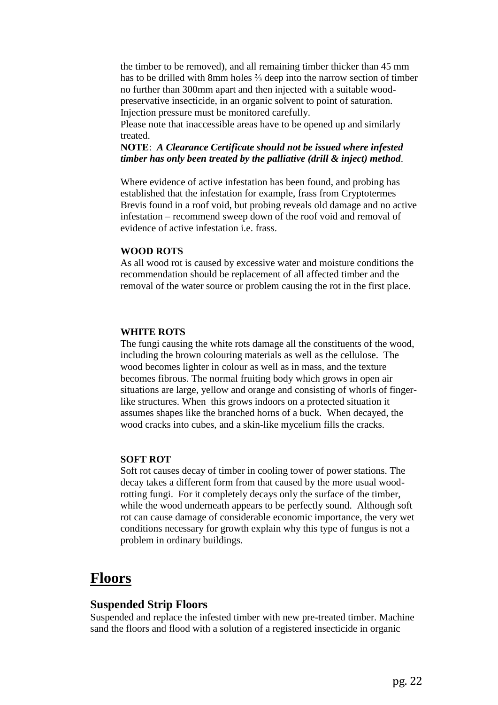the timber to be removed), and all remaining timber thicker than 45 mm has to be drilled with 8mm holes ⅔ deep into the narrow section of timber no further than 300mm apart and then injected with a suitable woodpreservative insecticide, in an organic solvent to point of saturation. Injection pressure must be monitored carefully.

Please note that inaccessible areas have to be opened up and similarly treated.

**NOTE**: *A Clearance Certificate should not be issued where infested timber has only been treated by the palliative (drill & inject) method*.

Where evidence of active infestation has been found, and probing has established that the infestation for example, frass from Cryptotermes Brevis found in a roof void, but probing reveals old damage and no active infestation – recommend sweep down of the roof void and removal of evidence of active infestation i.e. frass.

#### **WOOD ROTS**

As all wood rot is caused by excessive water and moisture conditions the recommendation should be replacement of all affected timber and the removal of the water source or problem causing the rot in the first place.

#### **WHITE ROTS**

The fungi causing the white rots damage all the constituents of the wood, including the brown colouring materials as well as the cellulose. The wood becomes lighter in colour as well as in mass, and the texture becomes fibrous. The normal fruiting body which grows in open air situations are large, yellow and orange and consisting of whorls of fingerlike structures. When this grows indoors on a protected situation it assumes shapes like the branched horns of a buck. When decayed, the wood cracks into cubes, and a skin-like mycelium fills the cracks.

#### **SOFT ROT**

Soft rot causes decay of timber in cooling tower of power stations. The decay takes a different form from that caused by the more usual woodrotting fungi. For it completely decays only the surface of the timber, while the wood underneath appears to be perfectly sound. Although soft rot can cause damage of considerable economic importance, the very wet conditions necessary for growth explain why this type of fungus is not a problem in ordinary buildings.

## **Floors**

#### **Suspended Strip Floors**

Suspended and replace the infested timber with new pre-treated timber. Machine sand the floors and flood with a solution of a registered insecticide in organic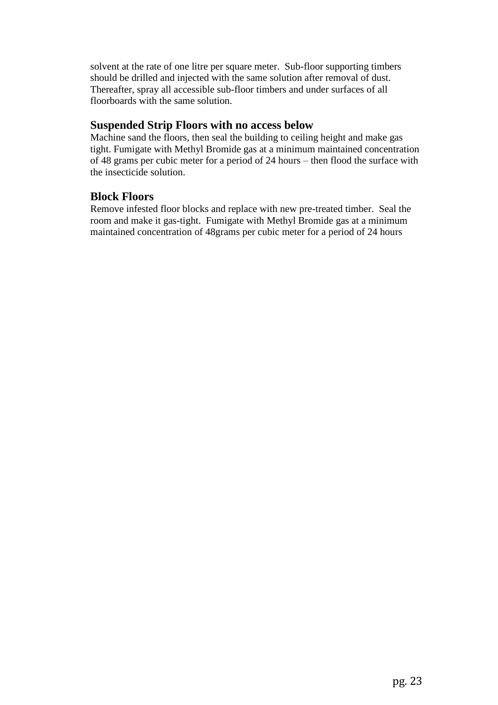solvent at the rate of one litre per square meter. Sub-floor supporting timbers should be drilled and injected with the same solution after removal of dust. Thereafter, spray all accessible sub-floor timbers and under surfaces of all floorboards with the same solution.

## **Suspended Strip Floors with no access below**

Machine sand the floors, then seal the building to ceiling height and make gas tight. Fumigate with Methyl Bromide gas at a minimum maintained concentration of 48 grams per cubic meter for a period of 24 hours – then flood the surface with the insecticide solution.

## **Block Floors**

Remove infested floor blocks and replace with new pre-treated timber. Seal the room and make it gas-tight. Fumigate with Methyl Bromide gas at a minimum maintained concentration of 48grams per cubic meter for a period of 24 hours